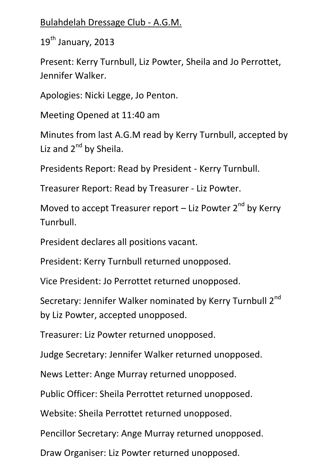## Bulahdelah Dressage Club - A.G.M.

19<sup>th</sup> January, 2013

Present: Kerry Turnbull, Liz Powter, Sheila and Jo Perrottet, Jennifer Walker.

Apologies: Nicki Legge, Jo Penton.

Meeting Opened at 11:40 am

Minutes from last A.G.M read by Kerry Turnbull, accepted by Liz and  $2^{nd}$  by Sheila.

Presidents Report: Read by President - Kerry Turnbull.

Treasurer Report: Read by Treasurer - Liz Powter.

Moved to accept Treasurer report  $-$  Liz Powter 2<sup>nd</sup> by Kerry Tunrbull.

President declares all positions vacant.

President: Kerry Turnbull returned unopposed.

Vice President: Jo Perrottet returned unopposed.

Secretary: Jennifer Walker nominated by Kerry Turnbull 2<sup>nd</sup> by Liz Powter, accepted unopposed.

Treasurer: Liz Powter returned unopposed.

Judge Secretary: Jennifer Walker returned unopposed.

News Letter: Ange Murray returned unopposed.

Public Officer: Sheila Perrottet returned unopposed.

Website: Sheila Perrottet returned unopposed.

Pencillor Secretary: Ange Murray returned unopposed.

Draw Organiser: Liz Powter returned unopposed.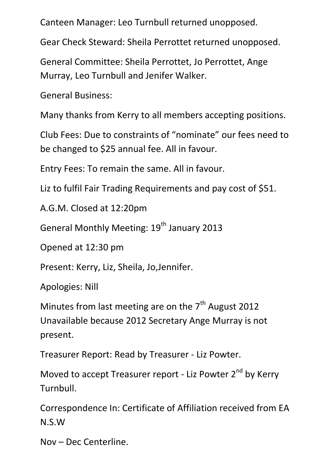Canteen Manager: Leo Turnbull returned unopposed.

Gear Check Steward: Sheila Perrottet returned unopposed.

General Committee: Sheila Perrottet, Jo Perrottet, Ange Murray, Leo Turnbull and Jenifer Walker.

General Business:

Many thanks from Kerry to all members accepting positions.

Club Fees: Due to constraints of "nominate" our fees need to be changed to \$25 annual fee. All in favour.

Entry Fees: To remain the same. All in favour.

Liz to fulfil Fair Trading Requirements and pay cost of \$51.

A.G.M. Closed at 12:20pm

General Monthly Meeting: 19<sup>th</sup> January 2013

Opened at 12:30 pm

Present: Kerry, Liz, Sheila, Jo,Jennifer.

Apologies: Nill

Minutes from last meeting are on the  $7<sup>th</sup>$  August 2012 Unavailable because 2012 Secretary Ange Murray is not present.

Treasurer Report: Read by Treasurer - Liz Powter.

Moved to accept Treasurer report - Liz Powter 2<sup>nd</sup> by Kerry Turnbull.

Correspondence In: Certificate of Affiliation received from EA N.S.W

Nov – Dec Centerline.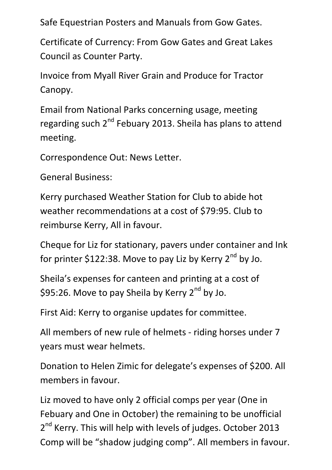Safe Equestrian Posters and Manuals from Gow Gates.

Certificate of Currency: From Gow Gates and Great Lakes Council as Counter Party.

Invoice from Myall River Grain and Produce for Tractor Canopy.

Email from National Parks concerning usage, meeting regarding such 2<sup>nd</sup> Febuary 2013. Sheila has plans to attend meeting.

Correspondence Out: News Letter.

General Business:

Kerry purchased Weather Station for Club to abide hot weather recommendations at a cost of \$79:95. Club to reimburse Kerry, All in favour.

Cheque for Liz for stationary, pavers under container and Ink for printer \$122:38. Move to pay Liz by Kerry  $2^{nd}$  by Jo.

Sheila's expenses for canteen and printing at a cost of \$95:26. Move to pay Sheila by Kerry 2<sup>nd</sup> by Jo.

First Aid: Kerry to organise updates for committee.

All members of new rule of helmets - riding horses under 7 years must wear helmets.

Donation to Helen Zimic for delegate's expenses of \$200. All members in favour.

Liz moved to have only 2 official comps per year (One in Febuary and One in October) the remaining to be unofficial 2<sup>nd</sup> Kerry. This will help with levels of judges. October 2013 Comp will be "shadow judging comp". All members in favour.